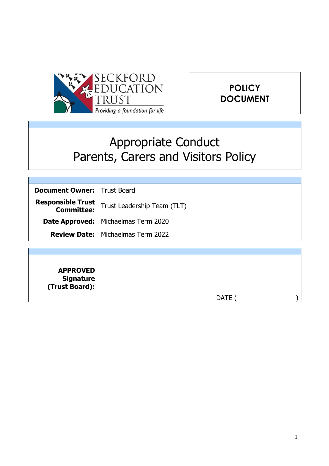



# Appropriate Conduct Parents, Carers and Visitors Policy

| <b>Document Owner:   Trust Board</b> |                                              |
|--------------------------------------|----------------------------------------------|
| Responsible Trust<br>  Committee:    | Trust Leadership Team (TLT)                  |
|                                      | <b>Date Approved:   Michaelmas Term 2020</b> |
|                                      | <b>Review Date:   Michaelmas Term 2022</b>   |
|                                      |                                              |

| <b>APPROVED</b><br>  Signature<br>  (Trust Board): |             |
|----------------------------------------------------|-------------|
|                                                    | <b>DATE</b> |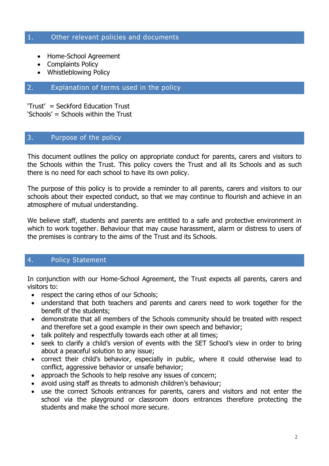#### 1. Other relevant policies and documents

- Home-School Agreement
- Complaints Policy
- Whistleblowing Policy

# 2. Explanation of terms used in the policy

'Trust' = Seckford Education Trust 'Schools' = Schools within the Trust

#### 3. Purpose of the policy

This document outlines the policy on appropriate conduct for parents, carers and visitors to the Schools within the Trust. This policy covers the Trust and all its Schools and as such there is no need for each school to have its own policy.

The purpose of this policy is to provide a reminder to all parents, carers and visitors to our schools about their expected conduct, so that we may continue to flourish and achieve in an atmosphere of mutual understanding.

We believe staff, students and parents are entitled to a safe and protective environment in which to work together. Behaviour that may cause harassment, alarm or distress to users of the premises is contrary to the aims of the Trust and its Schools.

# 4. Policy Statement

In conjunction with our Home-School Agreement, the Trust expects all parents, carers and visitors to:

- respect the caring ethos of our Schools;
- understand that both teachers and parents and carers need to work together for the benefit of the students;
- demonstrate that all members of the Schools community should be treated with respect and therefore set a good example in their own speech and behavior;
- talk politely and respectfully towards each other at all times;
- seek to clarify a child's version of events with the SET School's view in order to bring about a peaceful solution to any issue;
- correct their child's behavior, especially in public, where it could otherwise lead to conflict, aggressive behavior or unsafe behavior;
- approach the Schools to help resolve any issues of concern;
- avoid using staff as threats to admonish children's behaviour;
- use the correct Schools entrances for parents, carers and visitors and not enter the school via the playground or classroom doors entrances therefore protecting the students and make the school more secure.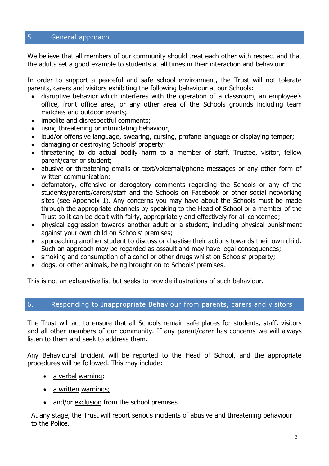# 5. General approach

We believe that all members of our community should treat each other with respect and that the adults set a good example to students at all times in their interaction and behaviour.

In order to support a peaceful and safe school environment, the Trust will not tolerate parents, carers and visitors exhibiting the following behaviour at our Schools:

- disruptive behavior which interferes with the operation of a classroom, an employee's office, front office area, or any other area of the Schools grounds including team matches and outdoor events;
- impolite and disrespectful comments;
- using threatening or intimidating behaviour;
- loud/or offensive language, swearing, cursing, profane language or displaying temper;
- damaging or destroying Schools' property;
- threatening to do actual bodily harm to a member of staff, Trustee, visitor, fellow parent/carer or student;
- abusive or threatening emails or text/voicemail/phone messages or any other form of written communication;
- defamatory, offensive or derogatory comments regarding the Schools or any of the students/parents/carers/staff and the Schools on Facebook or other social networking sites (see Appendix 1). Any concerns you may have about the Schools must be made through the appropriate channels by speaking to the Head of School or a member of the Trust so it can be dealt with fairly, appropriately and effectively for all concerned;
- physical aggression towards another adult or a student, including physical punishment against your own child on Schools' premises;
- approaching another student to discuss or chastise their actions towards their own child. Such an approach may be regarded as assault and may have legal consequences;
- smoking and consumption of alcohol or other drugs whilst on Schools' property;
- dogs, or other animals, being brought on to Schools' premises.

This is not an exhaustive list but seeks to provide illustrations of such behaviour.

# 6. Responding to Inappropriate Behaviour from parents, carers and visitors

The Trust will act to ensure that all Schools remain safe places for students, staff, visitors and all other members of our community. If any parent/carer has concerns we will always listen to them and seek to address them.

Any Behavioural Incident will be reported to the Head of School, and the appropriate procedures will be followed. This may include:

- a verbal warning;
- a written warnings;
- and/or exclusion from the school premises.

At any stage, the Trust will report serious incidents of abusive and threatening behaviour to the Police.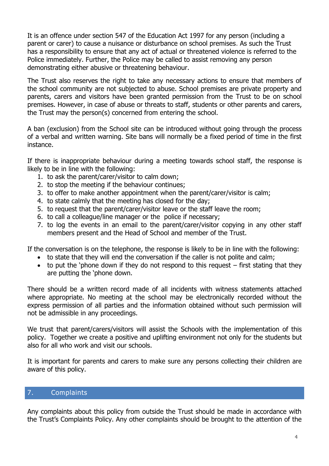It is an offence under section 547 of the Education Act 1997 for any person (including a parent or carer) to cause a nuisance or disturbance on school premises. As such the Trust has a responsibility to ensure that any act of actual or threatened violence is referred to the Police immediately. Further, the Police may be called to assist removing any person demonstrating either abusive or threatening behaviour.

The Trust also reserves the right to take any necessary actions to ensure that members of the school community are not subjected to abuse. School premises are private property and parents, carers and visitors have been granted permission from the Trust to be on school premises. However, in case of abuse or threats to staff, students or other parents and carers, the Trust may the person(s) concerned from entering the school.

A ban (exclusion) from the School site can be introduced without going through the process of a verbal and written warning. Site bans will normally be a fixed period of time in the first instance.

If there is inappropriate behaviour during a meeting towards school staff, the response is likely to be in line with the following:

- 1. to ask the parent/carer/visitor to calm down;
- 2. to stop the meeting if the behaviour continues;
- 3. to offer to make another appointment when the parent/carer/visitor is calm;
- 4. to state calmly that the meeting has closed for the day;
- 5. to request that the parent/carer/visitor leave or the staff leave the room;
- 6. to call a colleague/line manager or the police if necessary;
- 7. to log the events in an email to the parent/carer/visitor copying in any other staff members present and the Head of School and member of the Trust.

If the conversation is on the telephone, the response is likely to be in line with the following:

- to state that they will end the conversation if the caller is not polite and calm;
- $\bullet$  to put the 'phone down if they do not respond to this request first stating that they are putting the 'phone down.

There should be a written record made of all incidents with witness statements attached where appropriate. No meeting at the school may be electronically recorded without the express permission of all parties and the information obtained without such permission will not be admissible in any proceedings.

We trust that parent/carers/visitors will assist the Schools with the implementation of this policy. Together we create a positive and uplifting environment not only for the students but also for all who work and visit our schools.

It is important for parents and carers to make sure any persons collecting their children are aware of this policy.

# 7. Complaints

Any complaints about this policy from outside the Trust should be made in accordance with the Trust's Complaints Policy. Any other complaints should be brought to the attention of the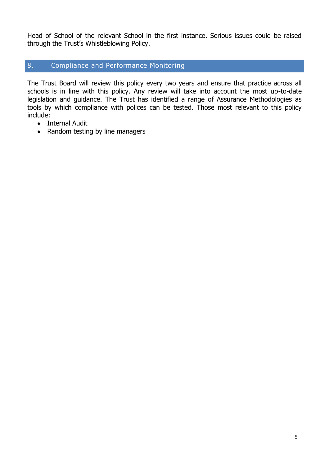Head of School of the relevant School in the first instance. Serious issues could be raised through the Trust's Whistleblowing Policy.

# 8. Compliance and Performance Monitoring

The Trust Board will review this policy every two years and ensure that practice across all schools is in line with this policy. Any review will take into account the most up-to-date legislation and guidance. The Trust has identified a range of Assurance Methodologies as tools by which compliance with polices can be tested. Those most relevant to this policy include:

- Internal Audit
- Random testing by line managers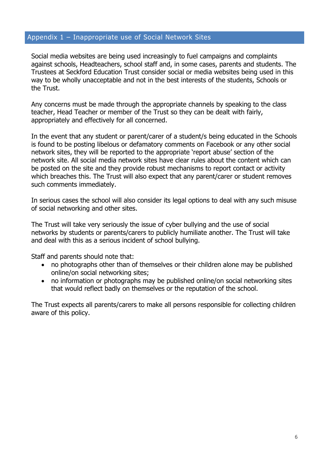#### Appendix 1 – Inappropriate use of Social Network Sites

Social media websites are being used increasingly to fuel campaigns and complaints against schools, Headteachers, school staff and, in some cases, parents and students. The Trustees at Seckford Education Trust consider social or media websites being used in this way to be wholly unacceptable and not in the best interests of the students, Schools or the Trust.

Any concerns must be made through the appropriate channels by speaking to the class teacher, Head Teacher or member of the Trust so they can be dealt with fairly, appropriately and effectively for all concerned.

In the event that any student or parent/carer of a student/s being educated in the Schools is found to be posting libelous or defamatory comments on Facebook or any other social network sites, they will be reported to the appropriate 'report abuse' section of the network site. All social media network sites have clear rules about the content which can be posted on the site and they provide robust mechanisms to report contact or activity which breaches this. The Trust will also expect that any parent/carer or student removes such comments immediately.

In serious cases the school will also consider its legal options to deal with any such misuse of social networking and other sites.

The Trust will take very seriously the issue of cyber bullying and the use of social networks by students or parents/carers to publicly humiliate another. The Trust will take and deal with this as a serious incident of school bullying.

Staff and parents should note that:

- no photographs other than of themselves or their children alone may be published online/on social networking sites;
- no information or photographs may be published online/on social networking sites that would reflect badly on themselves or the reputation of the school.

The Trust expects all parents/carers to make all persons responsible for collecting children aware of this policy.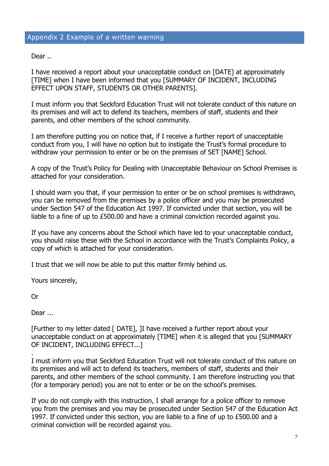#### Appendix 2 Example of a written warning

Dear ..

I have received a report about your unacceptable conduct on [DATE] at approximately [TIME] when I have been informed that you [SUMMARY OF INCIDENT, INCLUDING EFFECT UPON STAFF, STUDENTS OR OTHER PARENTS].

I must inform you that Seckford Education Trust will not tolerate conduct of this nature on its premises and will act to defend its teachers, members of staff, students and their parents, and other members of the school community.

I am therefore putting you on notice that, if I receive a further report of unacceptable conduct from you, I will have no option but to instigate the Trust's formal procedure to withdraw your permission to enter or be on the premises of SET [NAME] School.

A copy of the Trust's Policy for Dealing with Unacceptable Behaviour on School Premises is attached for your consideration.

I should warn you that, if your permission to enter or be on school premises is withdrawn, you can be removed from the premises by a police officer and you may be prosecuted under Section 547 of the Education Act 1997. If convicted under that section, you will be liable to a fine of up to £500.00 and have a criminal conviction recorded against you.

If you have any concerns about the School which have led to your unacceptable conduct, you should raise these with the School in accordance with the Trust's Complaints Policy, a copy of which is attached for your consideration.

I trust that we will now be able to put this matter firmly behind us.

Yours sincerely,

Or

.

Dear ...

[Further to my letter dated [ DATE], ]I have received a further report about your unacceptable conduct on at approximately [TIME] when it is alleged that you [SUMMARY OF INCIDENT, INCLUDING EFFECT...]

I must inform you that Seckford Education Trust will not tolerate conduct of this nature on its premises and will act to defend its teachers, members of staff, students and their parents, and other members of the school community. I am therefore instructing you that (for a temporary period) you are not to enter or be on the school's premises.

If you do not comply with this instruction, I shall arrange for a police officer to remove you from the premises and you may be prosecuted under Section 547 of the Education Act 1997. If convicted under this section, you are liable to a fine of up to £500.00 and a criminal conviction will be recorded against you.